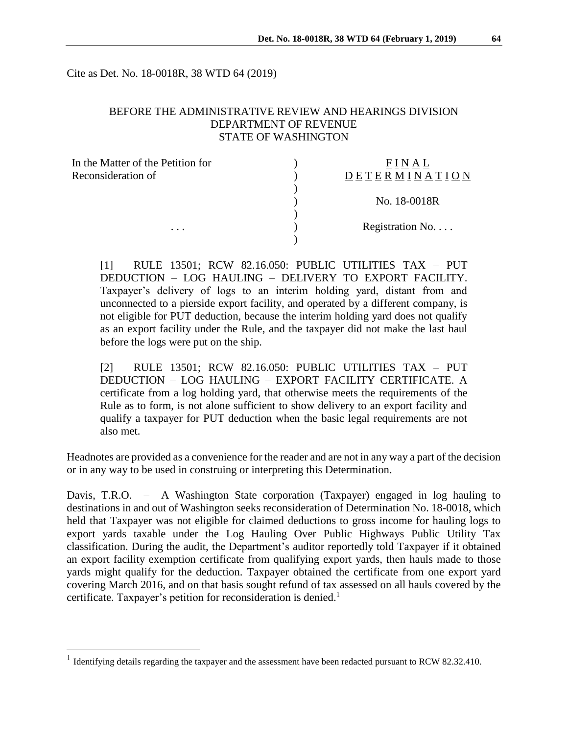Cite as Det. No. 18-0018R, 38 WTD 64 (2019)

# BEFORE THE ADMINISTRATIVE REVIEW AND HEARINGS DIVISION DEPARTMENT OF REVENUE STATE OF WASHINGTON

| In the Matter of the Petition for |                 |
|-----------------------------------|-----------------|
| Reconsideration of<br>.           | DETERMINATION   |
|                                   |                 |
|                                   | No. 18-0018R    |
|                                   |                 |
|                                   | Registration No |
|                                   |                 |

[1] RULE 13501; RCW 82.16.050: PUBLIC UTILITIES TAX – PUT DEDUCTION – LOG HAULING – DELIVERY TO EXPORT FACILITY. Taxpayer's delivery of logs to an interim holding yard, distant from and unconnected to a pierside export facility, and operated by a different company, is not eligible for PUT deduction, because the interim holding yard does not qualify as an export facility under the Rule, and the taxpayer did not make the last haul before the logs were put on the ship.

[2] RULE 13501; RCW 82.16.050: PUBLIC UTILITIES TAX – PUT DEDUCTION – LOG HAULING – EXPORT FACILITY CERTIFICATE. A certificate from a log holding yard, that otherwise meets the requirements of the Rule as to form, is not alone sufficient to show delivery to an export facility and qualify a taxpayer for PUT deduction when the basic legal requirements are not also met.

Headnotes are provided as a convenience for the reader and are not in any way a part of the decision or in any way to be used in construing or interpreting this Determination.

Davis, T.R.O. – A Washington State corporation (Taxpayer) engaged in log hauling to destinations in and out of Washington seeks reconsideration of Determination No. 18-0018, which held that Taxpayer was not eligible for claimed deductions to gross income for hauling logs to export yards taxable under the Log Hauling Over Public Highways Public Utility Tax classification. During the audit, the Department's auditor reportedly told Taxpayer if it obtained an export facility exemption certificate from qualifying export yards, then hauls made to those yards might qualify for the deduction. Taxpayer obtained the certificate from one export yard covering March 2016, and on that basis sought refund of tax assessed on all hauls covered by the certificate. Taxpayer's petition for reconsideration is denied. 1

 $\overline{a}$ 

<sup>&</sup>lt;sup>1</sup> Identifying details regarding the taxpayer and the assessment have been redacted pursuant to RCW 82.32.410.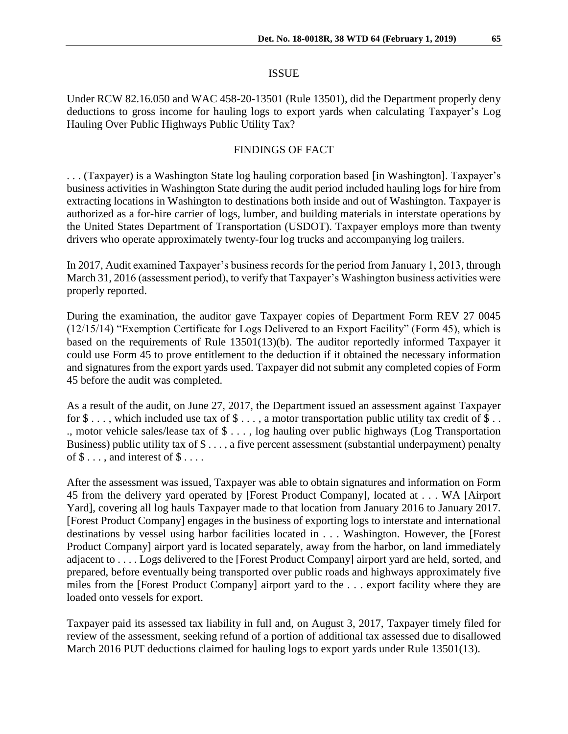#### ISSUE

Under RCW 82.16.050 and WAC 458-20-13501 (Rule 13501), did the Department properly deny deductions to gross income for hauling logs to export yards when calculating Taxpayer's Log Hauling Over Public Highways Public Utility Tax?

## FINDINGS OF FACT

. . . (Taxpayer) is a Washington State log hauling corporation based [in Washington]. Taxpayer's business activities in Washington State during the audit period included hauling logs for hire from extracting locations in Washington to destinations both inside and out of Washington. Taxpayer is authorized as a for-hire carrier of logs, lumber, and building materials in interstate operations by the United States Department of Transportation (USDOT). Taxpayer employs more than twenty drivers who operate approximately twenty-four log trucks and accompanying log trailers.

In 2017, Audit examined Taxpayer's business records for the period from January 1, 2013, through March 31, 2016 (assessment period), to verify that Taxpayer's Washington business activities were properly reported.

During the examination, the auditor gave Taxpayer copies of Department Form REV 27 0045 (12/15/14) "Exemption Certificate for Logs Delivered to an Export Facility" (Form 45), which is based on the requirements of Rule 13501(13)(b). The auditor reportedly informed Taxpayer it could use Form 45 to prove entitlement to the deduction if it obtained the necessary information and signatures from the export yards used. Taxpayer did not submit any completed copies of Form 45 before the audit was completed.

As a result of the audit, on June 27, 2017, the Department issued an assessment against Taxpayer for  $\$\ldots$ , which included use tax of  $\$\ldots$ , a motor transportation public utility tax credit of  $\$\ldots$ ., motor vehicle sales/lease tax of \$ . . . , log hauling over public highways (Log Transportation Business) public utility tax of \$ . . . , a five percent assessment (substantial underpayment) penalty of  $\$\dots$ , and interest of  $\$\dots$ .

After the assessment was issued, Taxpayer was able to obtain signatures and information on Form 45 from the delivery yard operated by [Forest Product Company], located at . . . WA [Airport Yard], covering all log hauls Taxpayer made to that location from January 2016 to January 2017. [Forest Product Company] engages in the business of exporting logs to interstate and international destinations by vessel using harbor facilities located in . . . Washington. However, the [Forest Product Company] airport yard is located separately, away from the harbor, on land immediately adjacent to . . . . Logs delivered to the [Forest Product Company] airport yard are held, sorted, and prepared, before eventually being transported over public roads and highways approximately five miles from the [Forest Product Company] airport yard to the . . . export facility where they are loaded onto vessels for export.

Taxpayer paid its assessed tax liability in full and, on August 3, 2017, Taxpayer timely filed for review of the assessment, seeking refund of a portion of additional tax assessed due to disallowed March 2016 PUT deductions claimed for hauling logs to export yards under Rule 13501(13).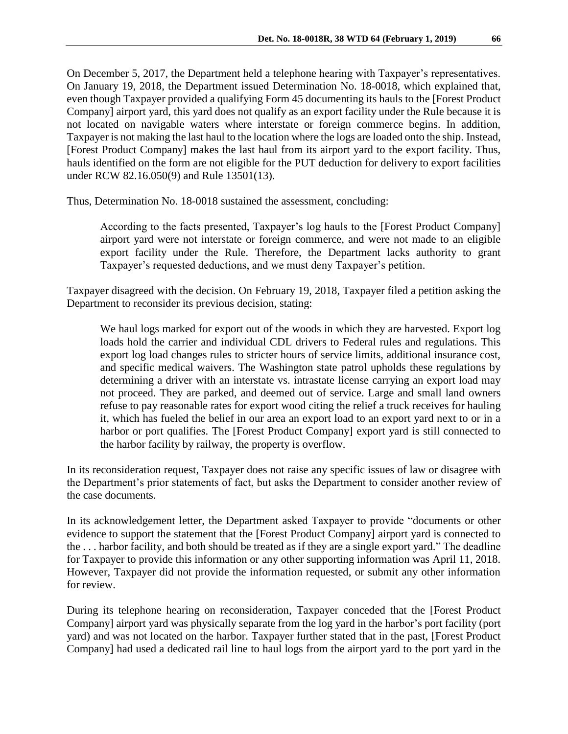On December 5, 2017, the Department held a telephone hearing with Taxpayer's representatives. On January 19, 2018, the Department issued Determination No. 18-0018, which explained that, even though Taxpayer provided a qualifying Form 45 documenting its hauls to the [Forest Product Company] airport yard, this yard does not qualify as an export facility under the Rule because it is not located on navigable waters where interstate or foreign commerce begins. In addition, Taxpayer is not making the last haul to the location where the logs are loaded onto the ship. Instead, [Forest Product Company] makes the last haul from its airport yard to the export facility. Thus, hauls identified on the form are not eligible for the PUT deduction for delivery to export facilities under RCW 82.16.050(9) and Rule 13501(13).

Thus, Determination No. 18-0018 sustained the assessment, concluding:

According to the facts presented, Taxpayer's log hauls to the [Forest Product Company] airport yard were not interstate or foreign commerce, and were not made to an eligible export facility under the Rule. Therefore, the Department lacks authority to grant Taxpayer's requested deductions, and we must deny Taxpayer's petition.

Taxpayer disagreed with the decision. On February 19, 2018, Taxpayer filed a petition asking the Department to reconsider its previous decision, stating:

We haul logs marked for export out of the woods in which they are harvested. Export log loads hold the carrier and individual CDL drivers to Federal rules and regulations. This export log load changes rules to stricter hours of service limits, additional insurance cost, and specific medical waivers. The Washington state patrol upholds these regulations by determining a driver with an interstate vs. intrastate license carrying an export load may not proceed. They are parked, and deemed out of service. Large and small land owners refuse to pay reasonable rates for export wood citing the relief a truck receives for hauling it, which has fueled the belief in our area an export load to an export yard next to or in a harbor or port qualifies. The [Forest Product Company] export yard is still connected to the harbor facility by railway, the property is overflow.

In its reconsideration request, Taxpayer does not raise any specific issues of law or disagree with the Department's prior statements of fact, but asks the Department to consider another review of the case documents.

In its acknowledgement letter, the Department asked Taxpayer to provide "documents or other evidence to support the statement that the [Forest Product Company] airport yard is connected to the . . . harbor facility, and both should be treated as if they are a single export yard." The deadline for Taxpayer to provide this information or any other supporting information was April 11, 2018. However, Taxpayer did not provide the information requested, or submit any other information for review.

During its telephone hearing on reconsideration, Taxpayer conceded that the [Forest Product Company] airport yard was physically separate from the log yard in the harbor's port facility (port yard) and was not located on the harbor. Taxpayer further stated that in the past, [Forest Product Company] had used a dedicated rail line to haul logs from the airport yard to the port yard in the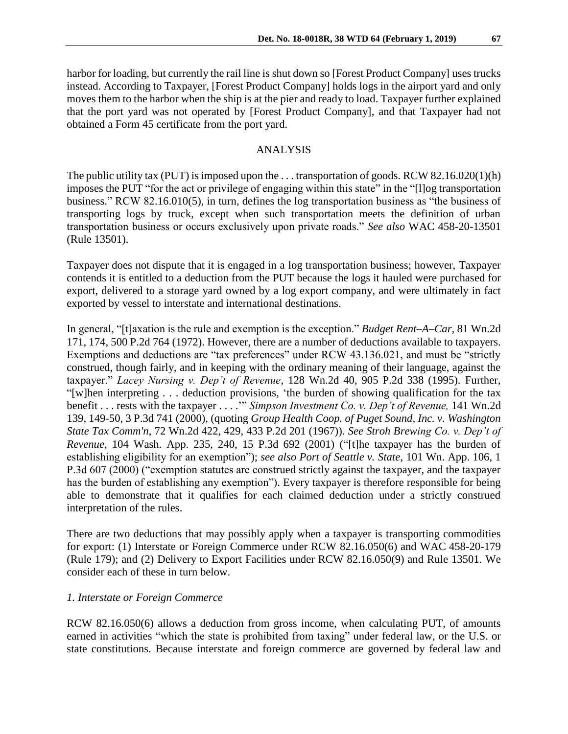harbor for loading, but currently the rail line is shut down so [Forest Product Company] uses trucks instead. According to Taxpayer, [Forest Product Company] holds logs in the airport yard and only moves them to the harbor when the ship is at the pier and ready to load. Taxpayer further explained that the port yard was not operated by [Forest Product Company], and that Taxpayer had not obtained a Form 45 certificate from the port yard.

## ANALYSIS

The public utility tax (PUT) is imposed upon the . . . transportation of goods. RCW 82.16.020(1)(h) imposes the PUT "for the act or privilege of engaging within this state" in the "[l]og transportation business." RCW 82.16.010(5), in turn, defines the log transportation business as "the business of transporting logs by truck, except when such transportation meets the definition of urban transportation business or occurs exclusively upon private roads." *See also* WAC 458-20-13501 (Rule 13501).

Taxpayer does not dispute that it is engaged in a log transportation business; however, Taxpayer contends it is entitled to a deduction from the PUT because the logs it hauled were purchased for export, delivered to a storage yard owned by a log export company, and were ultimately in fact exported by vessel to interstate and international destinations.

In general, "[t]axation is the rule and exemption is the exception." *[Budget Rent–A–Car,](https://1.next.westlaw.com/Link/Document/FullText?findType=Y&serNum=1972125431&pubNum=661&originatingDoc=I8c3102ebf53e11d98ac8f235252e36df&refType=RP&originationContext=document&transitionType=DocumentItem&contextData=(sc.Search))* 81 Wn.2d [171, 174, 500 P.2d 764 \(1972\).](https://1.next.westlaw.com/Link/Document/FullText?findType=Y&serNum=1972125431&pubNum=661&originatingDoc=I8c3102ebf53e11d98ac8f235252e36df&refType=RP&originationContext=document&transitionType=DocumentItem&contextData=(sc.Search)) However, there are a number of deductions available to taxpayers. Exemptions and deductions are "tax preferences" under RCW 43.136.021, and must be "strictly construed, though fairly, and in keeping with the ordinary meaning of their language, against the taxpayer." *Lacey Nursing v. Dep't of Revenue*, 128 Wn.2d 40, 905 P.2d 338 (1995). Further, "[w]hen interpreting . . . deduction provisions, 'the burden of showing qualification for the tax benefit . . . rests with the taxpayer . . . .'" *Simpson Investment Co. v. Dep't of Revenue,* 141 Wn.2d 139, 149-50, 3 P.3d 741 (2000)*,* (quoting *Group Health Coop. of Puget Sound, Inc. v. Washington State Tax Comm'n*, 72 Wn.2d 422, 429, 433 P.2d 201 (1967)). *See Stroh Brewing Co. v. Dep't of Revenue*, 104 Wash. App. 235, 240, 15 P.3d 692 (2001) ("[t]he taxpayer has the burden of establishing eligibility for an exemption"); *see also Port of Seattle v. State*, 101 Wn. App. 106, 1 P.3d 607 (2000) ("exemption statutes are construed strictly against the taxpayer, and the taxpayer has the burden of establishing any exemption"). Every taxpayer is therefore responsible for being able to demonstrate that it qualifies for each claimed deduction under a strictly construed interpretation of the rules.

There are two deductions that may possibly apply when a taxpayer is transporting commodities for export: (1) Interstate or Foreign Commerce under RCW 82.16.050(6) and WAC 458-20-179 (Rule 179); and (2) Delivery to Export Facilities under RCW 82.16.050(9) and Rule 13501. We consider each of these in turn below.

## *1. Interstate or Foreign Commerce*

RCW 82.16.050(6) allows a deduction from gross income, when calculating PUT, of amounts earned in activities "which the state is prohibited from taxing" under federal law, or the U.S. or state constitutions. Because interstate and foreign commerce are governed by federal law and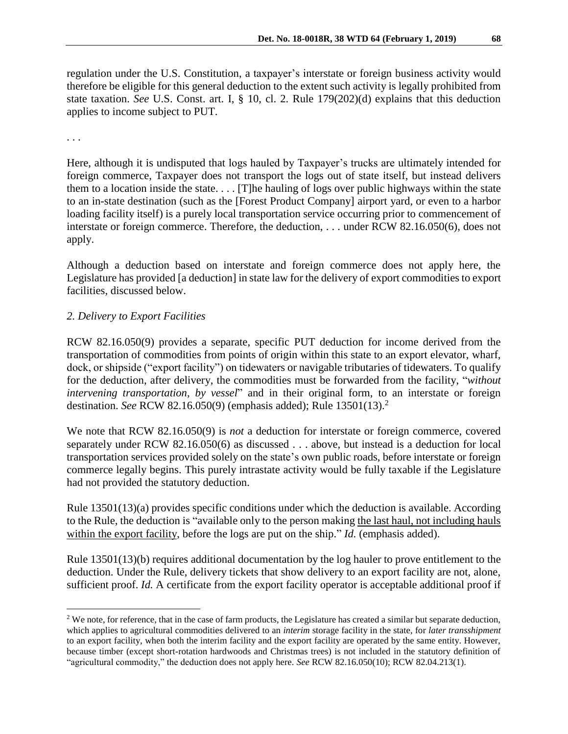regulation under the U.S. Constitution, a taxpayer's interstate or foreign business activity would therefore be eligible for this general deduction to the extent such activity is legally prohibited from state taxation. *See* U.S. Const. art. I, § 10, cl. 2. Rule 179(202)(d) explains that this deduction applies to income subject to PUT.

. . .

 $\overline{a}$ 

Here, although it is undisputed that logs hauled by Taxpayer's trucks are ultimately intended for foreign commerce, Taxpayer does not transport the logs out of state itself, but instead delivers them to a location inside the state. . . . [T]he hauling of logs over public highways within the state to an in-state destination (such as the [Forest Product Company] airport yard, or even to a harbor loading facility itself) is a purely local transportation service occurring prior to commencement of interstate or foreign commerce. Therefore, the deduction, . . . under RCW 82.16.050(6), does not apply.

Although a deduction based on interstate and foreign commerce does not apply here, the Legislature has provided [a deduction] in state law for the delivery of export commodities to export facilities, discussed below.

## *2. Delivery to Export Facilities*

RCW 82.16.050(9) provides a separate, specific PUT deduction for income derived from the transportation of commodities from points of origin within this state to an export elevator, wharf, dock, or shipside ("export facility") on tidewaters or navigable tributaries of tidewaters. To qualify for the deduction, after delivery, the commodities must be forwarded from the facility, "*without intervening transportation*, *by vessel*" and in their original form, to an interstate or foreign destination. *See* RCW 82.16.050(9) (emphasis added); Rule 13501(13).<sup>2</sup>

We note that RCW 82.16.050(9) is *not* a deduction for interstate or foreign commerce, covered separately under RCW 82.16.050(6) as discussed . . . above, but instead is a deduction for local transportation services provided solely on the state's own public roads, before interstate or foreign commerce legally begins. This purely intrastate activity would be fully taxable if the Legislature had not provided the statutory deduction.

Rule 13501(13)(a) provides specific conditions under which the deduction is available. According to the Rule, the deduction is "available only to the person making the last haul, not including hauls within the export facility, before the logs are put on the ship." *Id.* (emphasis added).

Rule 13501(13)(b) requires additional documentation by the log hauler to prove entitlement to the deduction. Under the Rule, delivery tickets that show delivery to an export facility are not, alone, sufficient proof. *Id.* A certificate from the export facility operator is acceptable additional proof if

<sup>&</sup>lt;sup>2</sup> We note, for reference, that in the case of farm products, the Legislature has created a similar but separate deduction, which applies to agricultural commodities delivered to an *interim* storage facility in the state, for *later transshipment* to an export facility, when both the interim facility and the export facility are operated by the same entity. However, because timber (except short-rotation hardwoods and Christmas trees) is not included in the statutory definition of "agricultural commodity," the deduction does not apply here. *See* RCW 82.16.050(10); RCW 82.04.213(1).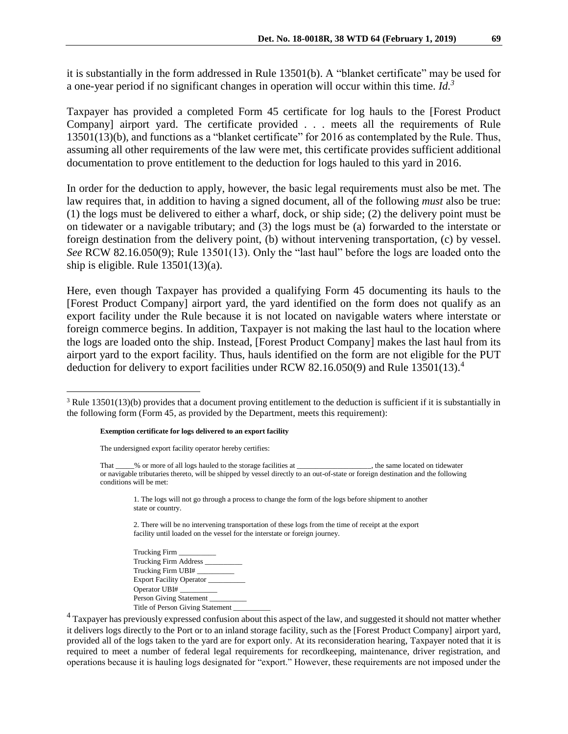it is substantially in the form addressed in Rule 13501(b). A "blanket certificate" may be used for a one-year period if no significant changes in operation will occur within this time. *Id.<sup>3</sup>*

Taxpayer has provided a completed Form 45 certificate for log hauls to the [Forest Product Company] airport yard. The certificate provided . . . meets all the requirements of Rule 13501(13)(b), and functions as a "blanket certificate" for 2016 as contemplated by the Rule. Thus, assuming all other requirements of the law were met, this certificate provides sufficient additional documentation to prove entitlement to the deduction for logs hauled to this yard in 2016.

In order for the deduction to apply, however, the basic legal requirements must also be met. The law requires that, in addition to having a signed document, all of the following *must* also be true: (1) the logs must be delivered to either a wharf, dock, or ship side; (2) the delivery point must be on tidewater or a navigable tributary; and (3) the logs must be (a) forwarded to the interstate or foreign destination from the delivery point, (b) without intervening transportation, (c) by vessel. *See* RCW 82.16.050(9); Rule 13501(13). Only the "last haul" before the logs are loaded onto the ship is eligible. Rule 13501(13)(a).

Here, even though Taxpayer has provided a qualifying Form 45 documenting its hauls to the [Forest Product Company] airport yard, the yard identified on the form does not qualify as an export facility under the Rule because it is not located on navigable waters where interstate or foreign commerce begins. In addition, Taxpayer is not making the last haul to the location where the logs are loaded onto the ship. Instead, [Forest Product Company] makes the last haul from its airport yard to the export facility. Thus, hauls identified on the form are not eligible for the PUT deduction for delivery to export facilities under RCW 82.16.050(9) and Rule 13501(13). 4

#### **Exemption certificate for logs delivered to an export facility**

The undersigned export facility operator hereby certifies:

 $\overline{a}$ 

1. The logs will not go through a process to change the form of the logs before shipment to another state or country.

2. There will be no intervening transportation of these logs from the time of receipt at the export facility until loaded on the vessel for the interstate or foreign journey.

Trucking Firm \_\_\_\_\_\_\_\_\_\_ Trucking Firm Address \_\_\_\_\_\_\_\_\_\_ Trucking Firm UBI# \_\_\_\_\_\_\_\_\_\_ Export Facility Operator Operator UBI# \_\_\_\_\_\_\_\_\_\_ Person Giving Statement Title of Person Giving Statement

<sup>4</sup> Taxpayer has previously expressed confusion about this aspect of the law, and suggested it should not matter whether it delivers logs directly to the Port or to an inland storage facility, such as the [Forest Product Company] airport yard, provided all of the logs taken to the yard are for export only. At its reconsideration hearing, Taxpayer noted that it is required to meet a number of federal legal requirements for recordkeeping, maintenance, driver registration, and operations because it is hauling logs designated for "export." However, these requirements are not imposed under the

 $3$  Rule 13501(13)(b) provides that a document proving entitlement to the deduction is sufficient if it is substantially in the following form (Form 45, as provided by the Department, meets this requirement):

That \_\_\_\_\_% or more of all logs hauled to the storage facilities at \_\_\_\_\_\_\_\_\_\_\_\_\_\_\_\_\_\_\_\_, the same located on tidewater or navigable tributaries thereto, will be shipped by vessel directly to an out-of-state or foreign destination and the following conditions will be met: